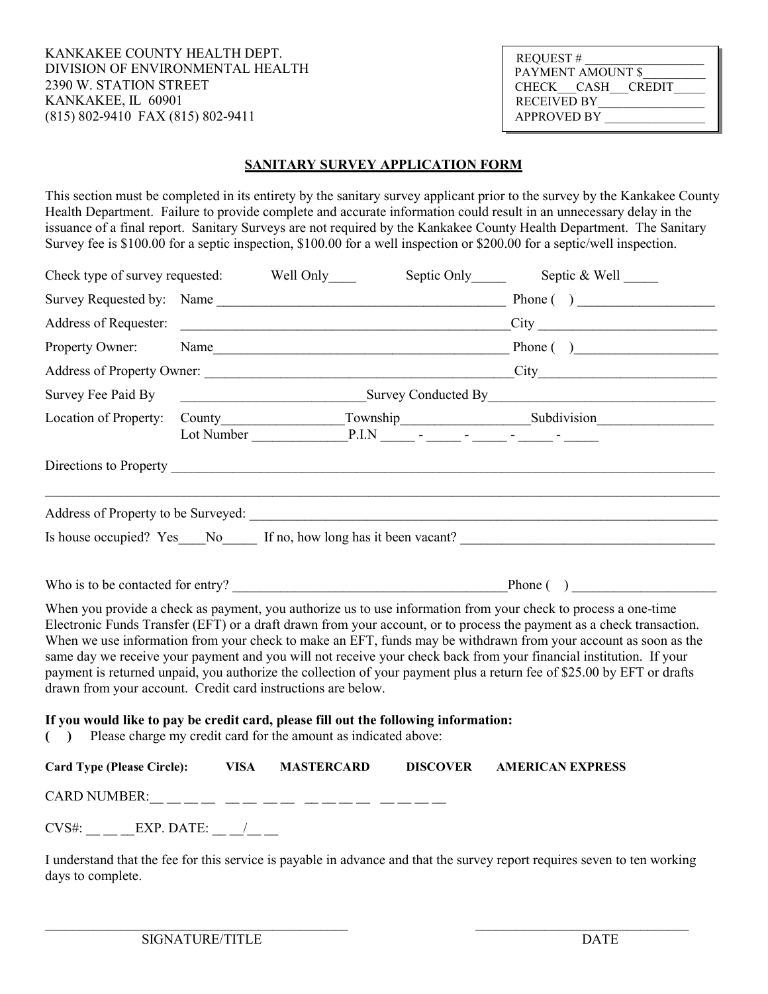KANKAKEE COUNTY HEALTH DEPT. DIVISION OF ENVIRONMENTAL HEALTH 2390 W. STATION STREET KANKAKEE, IL 60901 (815) 802-9410 FAX (815) 802-9411

| <b>REQUEST#</b>    |  |  |  |  |  |  |
|--------------------|--|--|--|--|--|--|
| PAYMENT AMOUNT \$  |  |  |  |  |  |  |
| CHECK CASH CREDIT  |  |  |  |  |  |  |
| <b>RECEIVED BY</b> |  |  |  |  |  |  |
| <b>APPROVED BY</b> |  |  |  |  |  |  |

## SANITARY SURVEY APPLICATION FORM

This section must be completed in its entirety by the sanitary survey applicant prior to the survey by the Kankakee County Health Department. Failure to provide complete and accurate information could result in an unnecessary delay in the issuance of a final report. Sanitary Surveys are not required by the Kankakee County Health Department. The Sanitary Survey fee is \$100.00 for a septic inspection, \$100.00 for a well inspection or \$200.00 for a septic/well inspection.

| Check type of survey requested: Well Only                                                                                                                 |                                                                  |                                                               |                 |                                                                                                                                                                                                                                                                                                                                                                                                                                                                                                                                                                                                            |
|-----------------------------------------------------------------------------------------------------------------------------------------------------------|------------------------------------------------------------------|---------------------------------------------------------------|-----------------|------------------------------------------------------------------------------------------------------------------------------------------------------------------------------------------------------------------------------------------------------------------------------------------------------------------------------------------------------------------------------------------------------------------------------------------------------------------------------------------------------------------------------------------------------------------------------------------------------------|
|                                                                                                                                                           |                                                                  |                                                               |                 |                                                                                                                                                                                                                                                                                                                                                                                                                                                                                                                                                                                                            |
|                                                                                                                                                           |                                                                  |                                                               |                 |                                                                                                                                                                                                                                                                                                                                                                                                                                                                                                                                                                                                            |
| Property Owner:                                                                                                                                           |                                                                  |                                                               |                 |                                                                                                                                                                                                                                                                                                                                                                                                                                                                                                                                                                                                            |
|                                                                                                                                                           |                                                                  |                                                               |                 |                                                                                                                                                                                                                                                                                                                                                                                                                                                                                                                                                                                                            |
| Survey Fee Paid By                                                                                                                                        | Survey Conducted By Exercise Conduction of By Allen Conducted By |                                                               |                 |                                                                                                                                                                                                                                                                                                                                                                                                                                                                                                                                                                                                            |
| Location of Property:                                                                                                                                     |                                                                  |                                                               |                 |                                                                                                                                                                                                                                                                                                                                                                                                                                                                                                                                                                                                            |
|                                                                                                                                                           |                                                                  |                                                               |                 |                                                                                                                                                                                                                                                                                                                                                                                                                                                                                                                                                                                                            |
|                                                                                                                                                           |                                                                  |                                                               |                 |                                                                                                                                                                                                                                                                                                                                                                                                                                                                                                                                                                                                            |
|                                                                                                                                                           |                                                                  |                                                               |                 |                                                                                                                                                                                                                                                                                                                                                                                                                                                                                                                                                                                                            |
|                                                                                                                                                           |                                                                  |                                                               |                 |                                                                                                                                                                                                                                                                                                                                                                                                                                                                                                                                                                                                            |
|                                                                                                                                                           |                                                                  | Who is to be contacted for entry? $\qquad \qquad$ Phone $( )$ |                 |                                                                                                                                                                                                                                                                                                                                                                                                                                                                                                                                                                                                            |
| drawn from your account. Credit card instructions are below.                                                                                              |                                                                  |                                                               |                 | When you provide a check as payment, you authorize us to use information from your check to process a one-time<br>Electronic Funds Transfer (EFT) or a draft drawn from your account, or to process the payment as a check transaction.<br>When we use information from your check to make an EFT, funds may be withdrawn from your account as soon as the<br>same day we receive your payment and you will not receive your check back from your financial institution. If your<br>payment is returned unpaid, you authorize the collection of your payment plus a return fee of \$25.00 by EFT or drafts |
| If you would like to pay be credit card, please fill out the following information:<br>() Please charge my credit card for the amount as indicated above: |                                                                  |                                                               |                 |                                                                                                                                                                                                                                                                                                                                                                                                                                                                                                                                                                                                            |
| Card Type (Please Circle): VISA                                                                                                                           |                                                                  | <b>MASTERCARD</b>                                             | <b>DISCOVER</b> | <b>AMERICAN EXPRESS</b>                                                                                                                                                                                                                                                                                                                                                                                                                                                                                                                                                                                    |
|                                                                                                                                                           |                                                                  |                                                               |                 |                                                                                                                                                                                                                                                                                                                                                                                                                                                                                                                                                                                                            |
| $CVS#$ :                                                                                                                                                  | EXP. DATE:                                                       |                                                               |                 |                                                                                                                                                                                                                                                                                                                                                                                                                                                                                                                                                                                                            |

I understand that the fee for this service is payable in advance and that the survey report requires seven to ten working days to complete.

 $\mathcal{L}_\mathcal{L} = \{ \mathcal{L}_\mathcal{L} = \{ \mathcal{L}_\mathcal{L} = \{ \mathcal{L}_\mathcal{L} = \{ \mathcal{L}_\mathcal{L} = \{ \mathcal{L}_\mathcal{L} = \{ \mathcal{L}_\mathcal{L} = \{ \mathcal{L}_\mathcal{L} = \{ \mathcal{L}_\mathcal{L} = \{ \mathcal{L}_\mathcal{L} = \{ \mathcal{L}_\mathcal{L} = \{ \mathcal{L}_\mathcal{L} = \{ \mathcal{L}_\mathcal{L} = \{ \mathcal{L}_\mathcal{L} = \{ \mathcal{L}_\mathcal{$